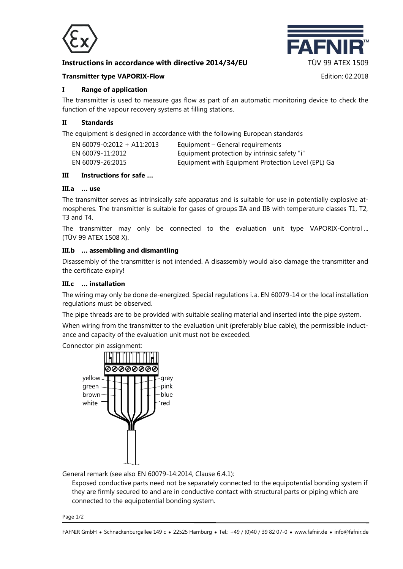

# **Instructions in accordance with directive 2014/34/EU TÜV 99 ATEX 1509**



#### **Transmitter type VAPORIX-Flow Edition: 02.2018**

**I Range of application**

The transmitter is used to measure gas flow as part of an automatic monitoring device to check the function of the vapour recovery systems at filling stations.

## **II Standards**

The equipment is designed in accordance with the following European standards

| EN 60079-0:2012 + A11:2013 | Equipment – General requirements                   |
|----------------------------|----------------------------------------------------|
| EN 60079-11:2012           | Equipment protection by intrinsic safety "i"       |
| EN 60079-26:2015           | Equipment with Equipment Protection Level (EPL) Ga |

### **III Instructions for safe …**

# **III.a … use**

The transmitter serves as intrinsically safe apparatus and is suitable for use in potentially explosive atmospheres. The transmitter is suitable for gases of groups IIA and IIB with temperature classes T1, T2, T3 and T4.

The transmitter may only be connected to the evaluation unit type VAPORIX-Control ... (TÜV 99 ATEX 1508 X).

### **III.b … assembling and dismantling**

Disassembly of the transmitter is not intended. A disassembly would also damage the transmitter and the certificate expiry!

#### **III.c … installation**

The wiring may only be done de-energized. Special regulations i. a. EN 60079-14 or the local installation regulations must be observed.

The pipe threads are to be provided with suitable sealing material and inserted into the pipe system.

When wiring from the transmitter to the evaluation unit (preferably blue cable), the permissible inductance and capacity of the evaluation unit must not be exceeded.

Connector pin assignment:



General remark (see also EN 60079-14:2014, Clause 6.4.1):

Exposed conductive parts need not be separately connected to the equipotential bonding system if they are firmly secured to and are in conductive contact with structural parts or piping which are connected to the equipotential bonding system.

Page 1/2